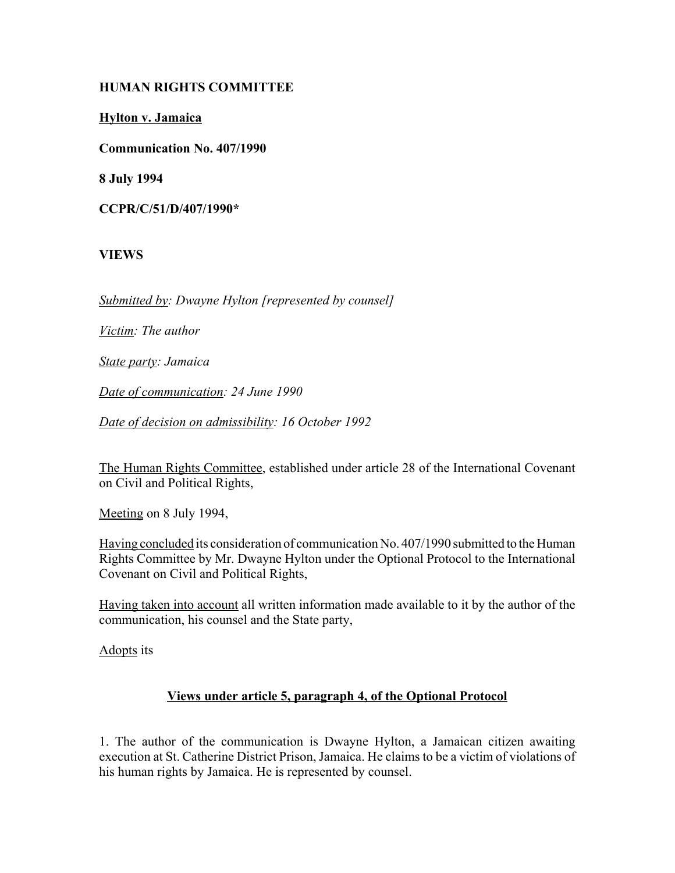### **HUMAN RIGHTS COMMITTEE**

**Hylton v. Jamaica**

**Communication No. 407/1990**

**8 July 1994**

**CCPR/C/51/D/407/1990\***

# **VIEWS**

*Submitted by: Dwayne Hylton [represented by counsel]*

*Victim: The author*

*State party: Jamaica*

*Date of communication: 24 June 1990*

*Date of decision on admissibility: 16 October 1992*

The Human Rights Committee, established under article 28 of the International Covenant on Civil and Political Rights,

Meeting on 8 July 1994,

Having concluded its consideration of communication No. 407/1990 submitted to the Human Rights Committee by Mr. Dwayne Hylton under the Optional Protocol to the International Covenant on Civil and Political Rights,

Having taken into account all written information made available to it by the author of the communication, his counsel and the State party,

Adopts its

#### **Views under article 5, paragraph 4, of the Optional Protocol**

1. The author of the communication is Dwayne Hylton, a Jamaican citizen awaiting execution at St. Catherine District Prison, Jamaica. He claims to be a victim of violations of his human rights by Jamaica. He is represented by counsel.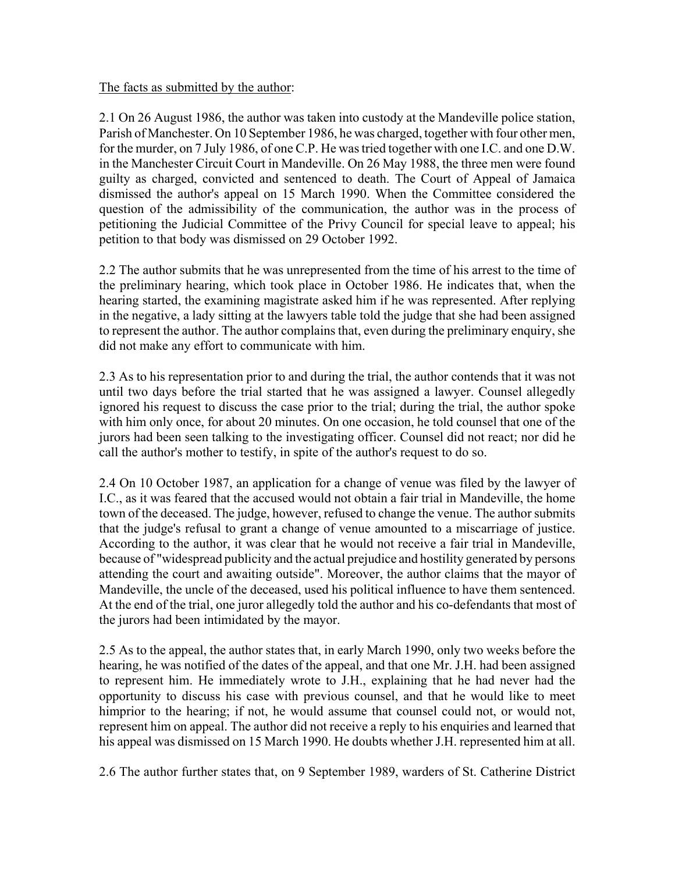#### The facts as submitted by the author:

2.1 On 26 August 1986, the author was taken into custody at the Mandeville police station, Parish of Manchester. On 10 September 1986, he was charged, together with four other men, for the murder, on 7 July 1986, of one C.P. He was tried together with one I.C. and one D.W. in the Manchester Circuit Court in Mandeville. On 26 May 1988, the three men were found guilty as charged, convicted and sentenced to death. The Court of Appeal of Jamaica dismissed the author's appeal on 15 March 1990. When the Committee considered the question of the admissibility of the communication, the author was in the process of petitioning the Judicial Committee of the Privy Council for special leave to appeal; his petition to that body was dismissed on 29 October 1992.

2.2 The author submits that he was unrepresented from the time of his arrest to the time of the preliminary hearing, which took place in October 1986. He indicates that, when the hearing started, the examining magistrate asked him if he was represented. After replying in the negative, a lady sitting at the lawyers table told the judge that she had been assigned to represent the author. The author complains that, even during the preliminary enquiry, she did not make any effort to communicate with him.

2.3 As to his representation prior to and during the trial, the author contends that it was not until two days before the trial started that he was assigned a lawyer. Counsel allegedly ignored his request to discuss the case prior to the trial; during the trial, the author spoke with him only once, for about 20 minutes. On one occasion, he told counsel that one of the jurors had been seen talking to the investigating officer. Counsel did not react; nor did he call the author's mother to testify, in spite of the author's request to do so.

2.4 On 10 October 1987, an application for a change of venue was filed by the lawyer of I.C., as it was feared that the accused would not obtain a fair trial in Mandeville, the home town of the deceased. The judge, however, refused to change the venue. The author submits that the judge's refusal to grant a change of venue amounted to a miscarriage of justice. According to the author, it was clear that he would not receive a fair trial in Mandeville, because of "widespread publicity and the actual prejudice and hostility generated by persons attending the court and awaiting outside". Moreover, the author claims that the mayor of Mandeville, the uncle of the deceased, used his political influence to have them sentenced. At the end of the trial, one juror allegedly told the author and his co-defendants that most of the jurors had been intimidated by the mayor.

2.5 As to the appeal, the author states that, in early March 1990, only two weeks before the hearing, he was notified of the dates of the appeal, and that one Mr. J.H. had been assigned to represent him. He immediately wrote to J.H., explaining that he had never had the opportunity to discuss his case with previous counsel, and that he would like to meet himprior to the hearing; if not, he would assume that counsel could not, or would not, represent him on appeal. The author did not receive a reply to his enquiries and learned that his appeal was dismissed on 15 March 1990. He doubts whether J.H. represented him at all.

2.6 The author further states that, on 9 September 1989, warders of St. Catherine District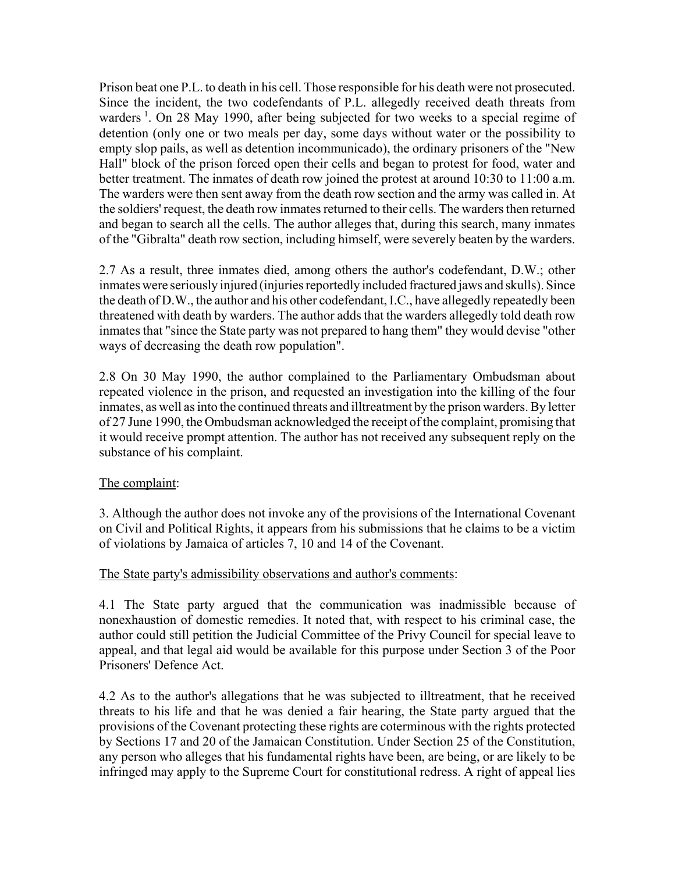Prison beat one P.L. to death in his cell. Those responsible for his death were not prosecuted. Since the incident, the two codefendants of P.L. allegedly received death threats from warders<sup>1</sup>. On 28 May 1990, after being subjected for two weeks to a special regime of detention (only one or two meals per day, some days without water or the possibility to empty slop pails, as well as detention incommunicado), the ordinary prisoners of the "New Hall" block of the prison forced open their cells and began to protest for food, water and better treatment. The inmates of death row joined the protest at around 10:30 to 11:00 a.m. The warders were then sent away from the death row section and the army was called in. At the soldiers' request, the death row inmates returned to their cells. The warders then returned and began to search all the cells. The author alleges that, during this search, many inmates of the "Gibralta" death row section, including himself, were severely beaten by the warders.

2.7 As a result, three inmates died, among others the author's codefendant, D.W.; other inmates were seriously injured (injuries reportedly included fractured jaws and skulls). Since the death of D.W., the author and his other codefendant, I.C., have allegedly repeatedly been threatened with death by warders. The author adds that the warders allegedly told death row inmates that "since the State party was not prepared to hang them" they would devise "other ways of decreasing the death row population".

2.8 On 30 May 1990, the author complained to the Parliamentary Ombudsman about repeated violence in the prison, and requested an investigation into the killing of the four inmates, as well as into the continued threats and illtreatment by the prison warders. By letter of 27 June 1990, the Ombudsman acknowledged the receipt of the complaint, promising that it would receive prompt attention. The author has not received any subsequent reply on the substance of his complaint.

#### The complaint:

3. Although the author does not invoke any of the provisions of the International Covenant on Civil and Political Rights, it appears from his submissions that he claims to be a victim of violations by Jamaica of articles 7, 10 and 14 of the Covenant.

#### The State party's admissibility observations and author's comments:

4.1 The State party argued that the communication was inadmissible because of nonexhaustion of domestic remedies. It noted that, with respect to his criminal case, the author could still petition the Judicial Committee of the Privy Council for special leave to appeal, and that legal aid would be available for this purpose under Section 3 of the Poor Prisoners' Defence Act.

4.2 As to the author's allegations that he was subjected to illtreatment, that he received threats to his life and that he was denied a fair hearing, the State party argued that the provisions of the Covenant protecting these rights are coterminous with the rights protected by Sections 17 and 20 of the Jamaican Constitution. Under Section 25 of the Constitution, any person who alleges that his fundamental rights have been, are being, or are likely to be infringed may apply to the Supreme Court for constitutional redress. A right of appeal lies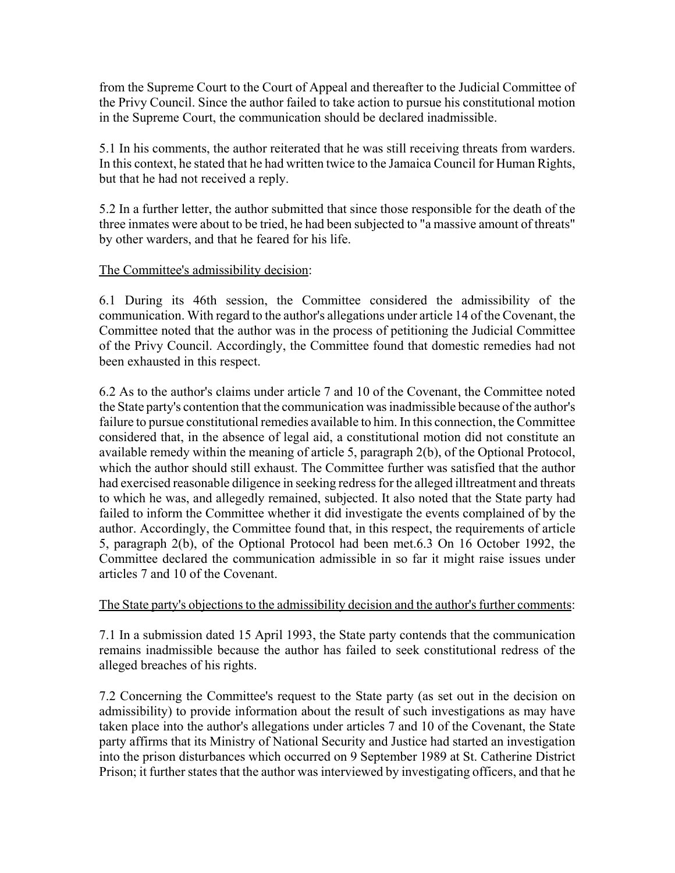from the Supreme Court to the Court of Appeal and thereafter to the Judicial Committee of the Privy Council. Since the author failed to take action to pursue his constitutional motion in the Supreme Court, the communication should be declared inadmissible.

5.1 In his comments, the author reiterated that he was still receiving threats from warders. In this context, he stated that he had written twice to the Jamaica Council for Human Rights, but that he had not received a reply.

5.2 In a further letter, the author submitted that since those responsible for the death of the three inmates were about to be tried, he had been subjected to "a massive amount of threats" by other warders, and that he feared for his life.

### The Committee's admissibility decision:

6.1 During its 46th session, the Committee considered the admissibility of the communication. With regard to the author's allegations under article 14 of the Covenant, the Committee noted that the author was in the process of petitioning the Judicial Committee of the Privy Council. Accordingly, the Committee found that domestic remedies had not been exhausted in this respect.

6.2 As to the author's claims under article 7 and 10 of the Covenant, the Committee noted the State party's contention that the communication was inadmissible because of the author's failure to pursue constitutional remedies available to him. In this connection, the Committee considered that, in the absence of legal aid, a constitutional motion did not constitute an available remedy within the meaning of article 5, paragraph 2(b), of the Optional Protocol, which the author should still exhaust. The Committee further was satisfied that the author had exercised reasonable diligence in seeking redress for the alleged illtreatment and threats to which he was, and allegedly remained, subjected. It also noted that the State party had failed to inform the Committee whether it did investigate the events complained of by the author. Accordingly, the Committee found that, in this respect, the requirements of article 5, paragraph 2(b), of the Optional Protocol had been met.6.3 On 16 October 1992, the Committee declared the communication admissible in so far it might raise issues under articles 7 and 10 of the Covenant.

#### The State party's objections to the admissibility decision and the author's further comments:

7.1 In a submission dated 15 April 1993, the State party contends that the communication remains inadmissible because the author has failed to seek constitutional redress of the alleged breaches of his rights.

7.2 Concerning the Committee's request to the State party (as set out in the decision on admissibility) to provide information about the result of such investigations as may have taken place into the author's allegations under articles 7 and 10 of the Covenant, the State party affirms that its Ministry of National Security and Justice had started an investigation into the prison disturbances which occurred on 9 September 1989 at St. Catherine District Prison; it further states that the author was interviewed by investigating officers, and that he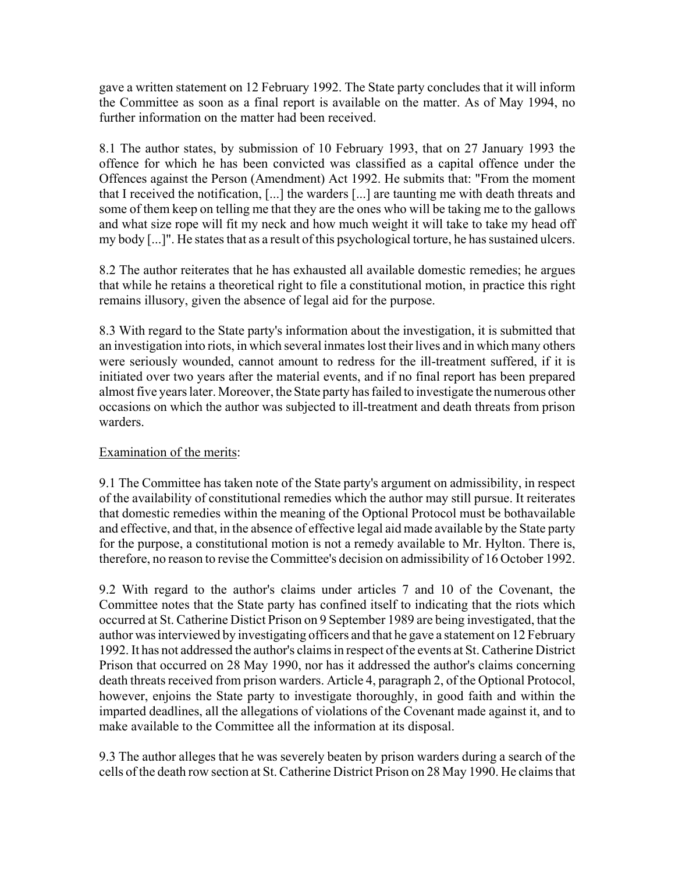gave a written statement on 12 February 1992. The State party concludes that it will inform the Committee as soon as a final report is available on the matter. As of May 1994, no further information on the matter had been received.

8.1 The author states, by submission of 10 February 1993, that on 27 January 1993 the offence for which he has been convicted was classified as a capital offence under the Offences against the Person (Amendment) Act 1992. He submits that: "From the moment that I received the notification, [...] the warders [...] are taunting me with death threats and some of them keep on telling me that they are the ones who will be taking me to the gallows and what size rope will fit my neck and how much weight it will take to take my head off my body [...]". He states that as a result of this psychological torture, he has sustained ulcers.

8.2 The author reiterates that he has exhausted all available domestic remedies; he argues that while he retains a theoretical right to file a constitutional motion, in practice this right remains illusory, given the absence of legal aid for the purpose.

8.3 With regard to the State party's information about the investigation, it is submitted that an investigation into riots, in which several inmates lost their lives and in which many others were seriously wounded, cannot amount to redress for the ill-treatment suffered, if it is initiated over two years after the material events, and if no final report has been prepared almost five years later. Moreover, the State party has failed to investigate the numerous other occasions on which the author was subjected to ill-treatment and death threats from prison warders.

# Examination of the merits:

9.1 The Committee has taken note of the State party's argument on admissibility, in respect of the availability of constitutional remedies which the author may still pursue. It reiterates that domestic remedies within the meaning of the Optional Protocol must be bothavailable and effective, and that, in the absence of effective legal aid made available by the State party for the purpose, a constitutional motion is not a remedy available to Mr. Hylton. There is, therefore, no reason to revise the Committee's decision on admissibility of 16 October 1992.

9.2 With regard to the author's claims under articles 7 and 10 of the Covenant, the Committee notes that the State party has confined itself to indicating that the riots which occurred at St. Catherine Distict Prison on 9 September 1989 are being investigated, that the author was interviewed by investigating officers and that he gave a statement on 12 February 1992. It has not addressed the author's claims in respect of the events at St. Catherine District Prison that occurred on 28 May 1990, nor has it addressed the author's claims concerning death threats received from prison warders. Article 4, paragraph 2, of the Optional Protocol, however, enjoins the State party to investigate thoroughly, in good faith and within the imparted deadlines, all the allegations of violations of the Covenant made against it, and to make available to the Committee all the information at its disposal.

9.3 The author alleges that he was severely beaten by prison warders during a search of the cells of the death row section at St. Catherine District Prison on 28 May 1990. He claims that